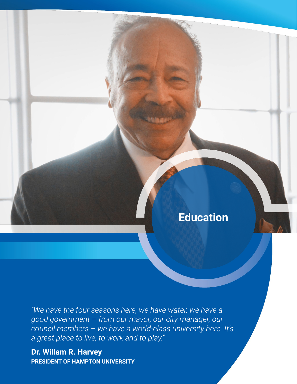# **Education**

*"We have the four seasons here, we have water, we have a good government – from our mayor, our city manager, our council members – we have a world-class university here. It's a great place to live, to work and to play."* 

**Dr. Willam R. Harvey PRESIDENT OF HAMPTON UNIVERSITY**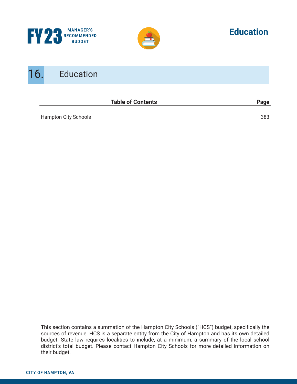





| 16. | <b>Education</b>            |                          |      |
|-----|-----------------------------|--------------------------|------|
|     |                             | <b>Table of Contents</b> | Page |
|     | <b>Hampton City Schools</b> |                          | 383  |

This section contains a summation of the Hampton City Schools ("HCS") budget, specifically the sources of revenue. HCS is a separate entity from the City of Hampton and has its own detailed budget. State law requires localities to include, at a minimum, a summary of the local school district's total budget. Please contact Hampton City Schools for more detailed information on their budget.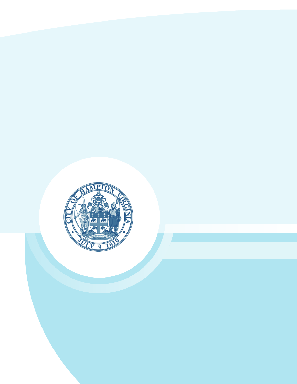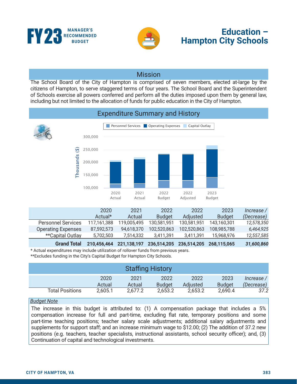



## **Education – Hampton City Schools**

### Mission

The School Board of the City of Hampton is comprised of seven members, elected at-large by the citizens of Hampton, to serve staggered terms of four years. The School Board and the Superintendent of Schools exercise all powers conferred and perform all the duties imposed upon them by general law, including but not limited to the allocation of funds for public education in the City of Hampton.



#### **Grand Total 210,456,464 221,138,197 236,514,205 236,514,205 268,115,065** *31,600,860*

\* Actual expenditures may include utilization of rollover funds from previous years.

\*\*Excludes funding in the City's Capital Budget for Hampton City Schools.

| <b>Staffing History</b> |                |                |                       |                  |                       |                          |  |  |  |  |  |
|-------------------------|----------------|----------------|-----------------------|------------------|-----------------------|--------------------------|--|--|--|--|--|
|                         | 2020<br>Actual | 2021<br>Actual | 2022<br><b>Budget</b> | 2022<br>Adjusted | 2023<br><b>Budget</b> | Increase /<br>(Decrease) |  |  |  |  |  |
| <b>Total Positions</b>  | 2,605.1        | 2,677.2        | 2,653.2               | 2,653.2          | 2.690.4               | 37.2                     |  |  |  |  |  |

#### *Budget Note*

The increase in this budget is attributed to: (1) A compensation package that includes a 5% compensation increase for full and part-time, excluding flat rate, temporary positions and some part-time teaching positions; teacher salary scale adjustments; additional salary adjustments and supplements for support staff; and an increase minimum wage to \$12.00; (2) The addition of 37.2 new positions (e.g. teachers, teacher specialists, instructional assistants, school security officer); and, (3) Continuation of capital and technological investments.